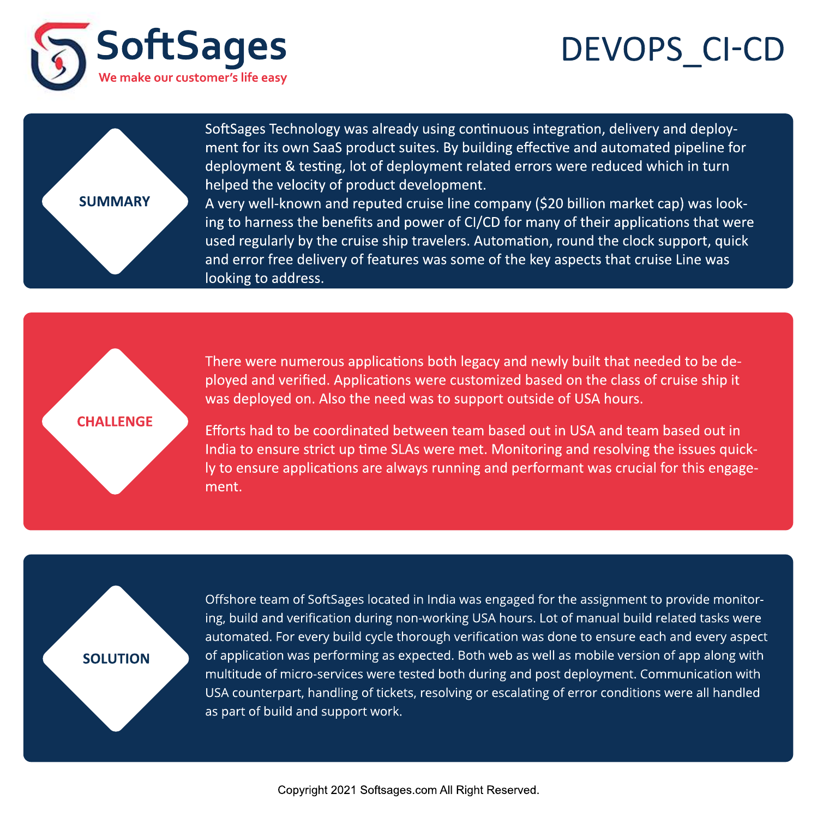## DEVOPS\_CI-CD





SoftSages Technology was already using continuous integration, delivery and deployment for its own SaaS product suites. By building effective and automated pipeline for deployment & testing, lot of deployment related errors were reduced which in turn helped the velocity of product development.

A very well-known and reputed cruise line company (\$20 billion market cap) was looking to harness the benefits and power of CI/CD for many of their applications that were used regularly by the cruise ship travelers. Automation, round the clock support, quick and error free delivery of features was some of the key aspects that cruise Line was looking to address.

## **CHALLENGE**

There were numerous applications both legacy and newly built that needed to be deployed and verified. Applications were customized based on the class of cruise ship it was deployed on. Also the need was to support outside of USA hours.

Efforts had to be coordinated between team based out in USA and team based out in India to ensure strict up time SLAs were met. Monitoring and resolving the issues quickly to ensure applications are always running and performant was crucial for this engagement.

## **SOLUTION**

Offshore team of SoftSages located in India was engaged for the assignment to provide monitoring, build and verification during non-working USA hours. Lot of manual build related tasks were automated. For every build cycle thorough verification was done to ensure each and every aspect of application was performing as expected. Both web as well as mobile version of app along with multitude of micro-services were tested both during and post deployment. Communication with USA counterpart, handling of tickets, resolving or escalating of error conditions were all handled as part of build and support work.